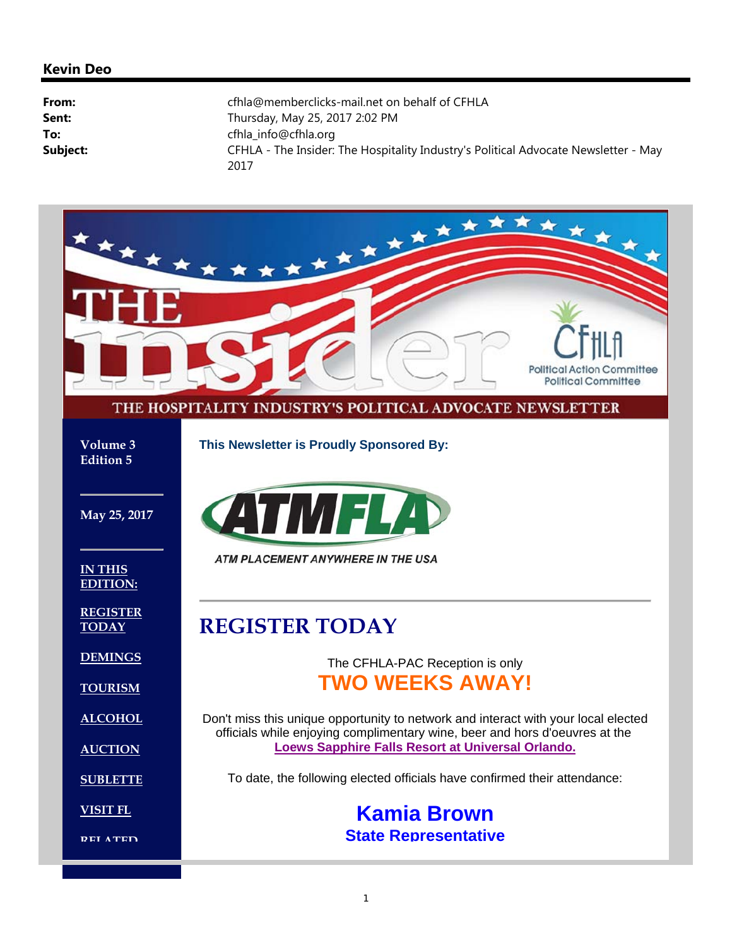#### **Kevin Deo**

| From:    | cfhla@memberclicks-mail.net on behalf of CFHLA                                              |
|----------|---------------------------------------------------------------------------------------------|
| Sent:    | Thursday, May 25, 2017 2:02 PM                                                              |
| To:      | cfhla_info@cfhla.org                                                                        |
| Subject: | CFHLA - The Insider: The Hospitality Industry's Political Advocate Newsletter - May<br>2017 |

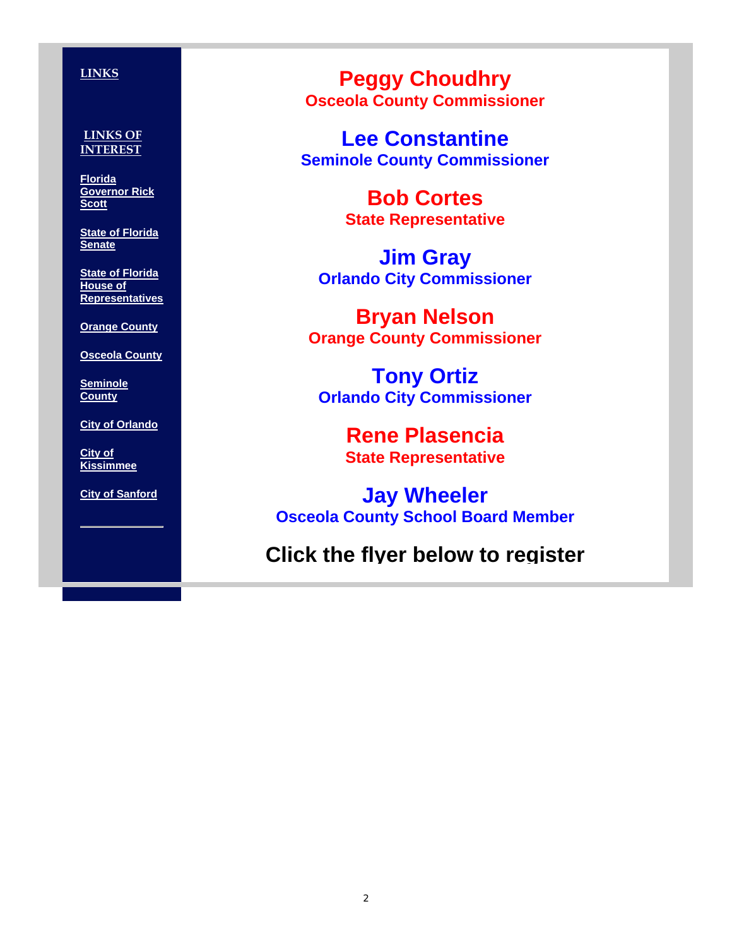#### **LINKS**

#### **LINKS OF INTEREST**

**Florida Governor Rick Scott**

**State of Florida Senate**

**State of Florida House of Representatives**

**Orange County**

**Osceola County**

**Seminole County**

**City of Orlando**

**City of Kissimmee**

**City of Sanford**

**Peggy Choudhry Osceola County Commissioner**

**Lee Constantine Seminole County Commissioner**

> **Bob Cortes State Representative**

**Jim Gray Orlando City Commissioner**

**Bryan Nelson Orange County Commissioner**

**Tony Ortiz Orlando City Commissioner**

> **Rene Plasencia State Representative**

**Jay Wheeler Osceola County School Board Member**

**Click the flyer below to register**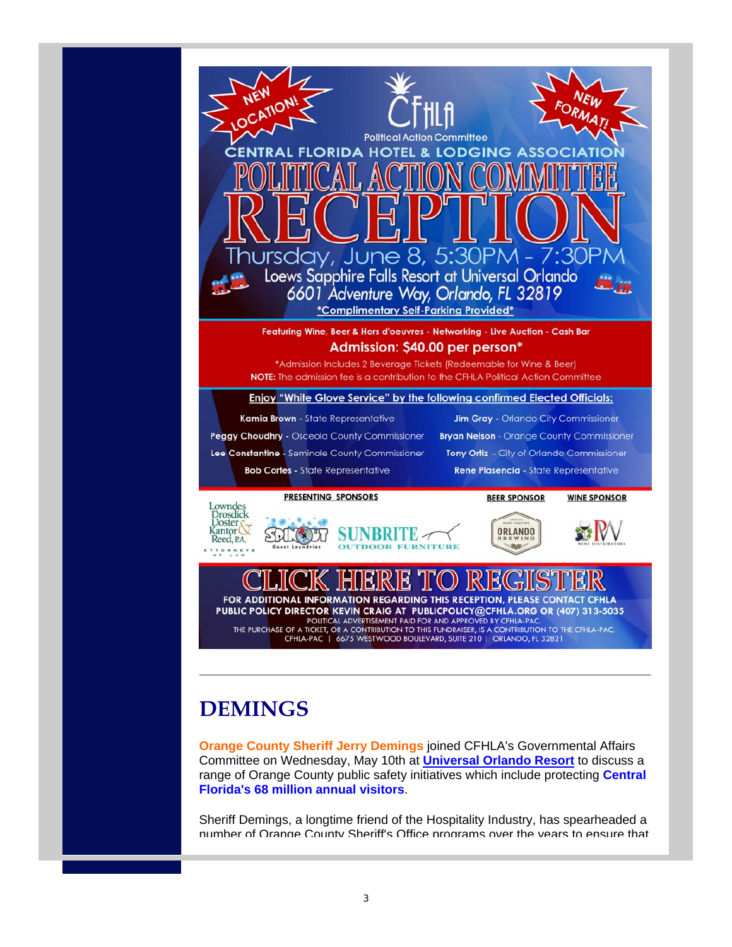

# **DEMINGS**

**Orange County Sheriff Jerry Demings** joined CFHLA's Governmental Affairs Committee on Wednesday, May 10th at **Universal Orlando Resort** to discuss a range of Orange County public safety initiatives which include protecting **Central Florida's 68 million annual visitors**.

Sheriff Demings, a longtime friend of the Hospitality Industry, has spearheaded a number of Orange County Sheriff's Office programs over the years to ensure that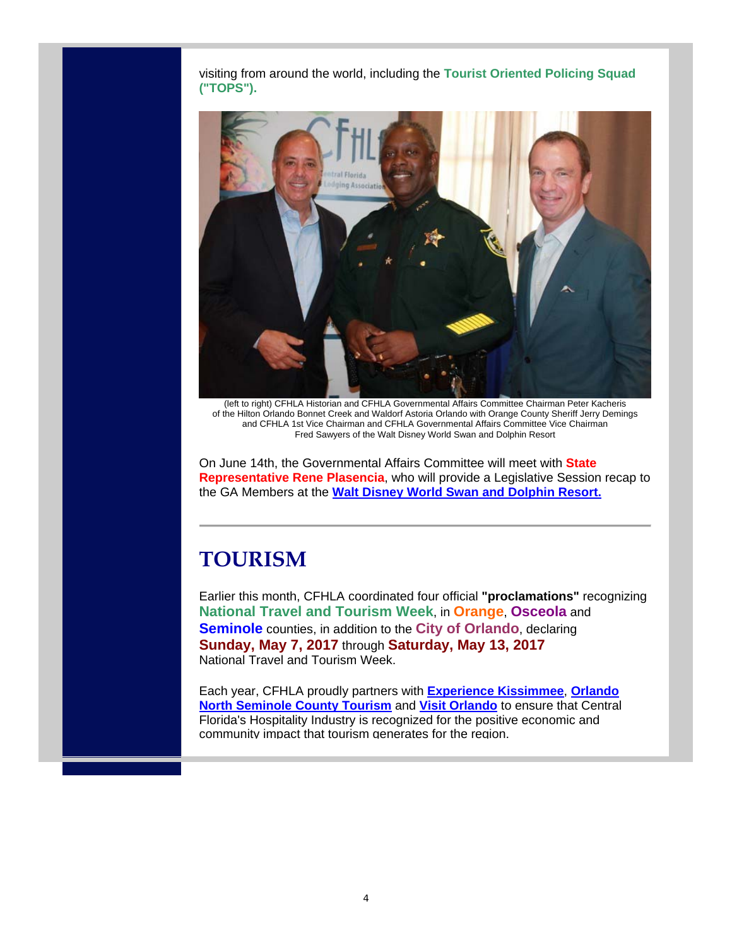visiting from around the world, including the **Tourist Oriented Policing Squad ("TOPS").**



(left to right) CFHLA Historian and CFHLA Governmental Affairs Committee Chairman Peter Kacheris of the Hilton Orlando Bonnet Creek and Waldorf Astoria Orlando with Orange County Sheriff Jerry Demings and CFHLA 1st Vice Chairman and CFHLA Governmental Affairs Committee Vice Chairman Fred Sawyers of the Walt Disney World Swan and Dolphin Resort

On June 14th, the Governmental Affairs Committee will meet with **State Representative Rene Plasencia**, who will provide a Legislative Session recap to the GA Members at the **Walt Disney World Swan and Dolphin Resort.**

### **TOURISM**

Earlier this month, CFHLA coordinated four official **"proclamations"** recognizing **National Travel and Tourism Week**, in **Orange**, **Osceola** and **Seminole** counties, in addition to the **City of Orlando**, declaring **Sunday, May 7, 2017** through **Saturday, May 13, 2017** National Travel and Tourism Week.

Each year, CFHLA proudly partners with **Experience Kissimmee**, **Orlando North Seminole County Tourism** and **Visit Orlando** to ensure that Central Florida's Hospitality Industry is recognized for the positive economic and community impact that tourism generates for the region.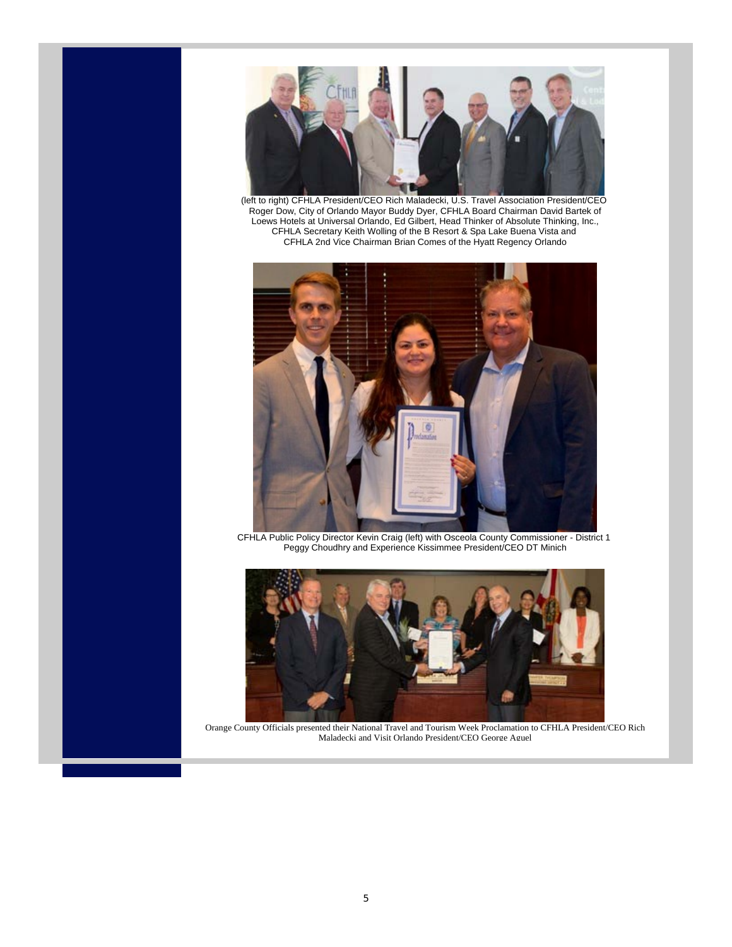

(left to right) CFHLA President/CEO Rich Maladecki, U.S. Travel Association President/CEO Roger Dow, City of Orlando Mayor Buddy Dyer, CFHLA Board Chairman David Bartek of Loews Hotels at Universal Orlando, Ed Gilbert, Head Thinker of Absolute Thinking, Inc., CFHLA Secretary Keith Wolling of the B Resort & Spa Lake Buena Vista and CFHLA 2nd Vice Chairman Brian Comes of the Hyatt Regency Orlando



CFHLA Public Policy Director Kevin Craig (left) with Osceola County Commissioner - District 1 Peggy Choudhry and Experience Kissimmee President/CEO DT Minich



Orange County Officials presented their National Travel and Tourism Week Proclamation to CFHLA President/CEO Rich Maladecki and Visit Orlando President/CEO George Aguel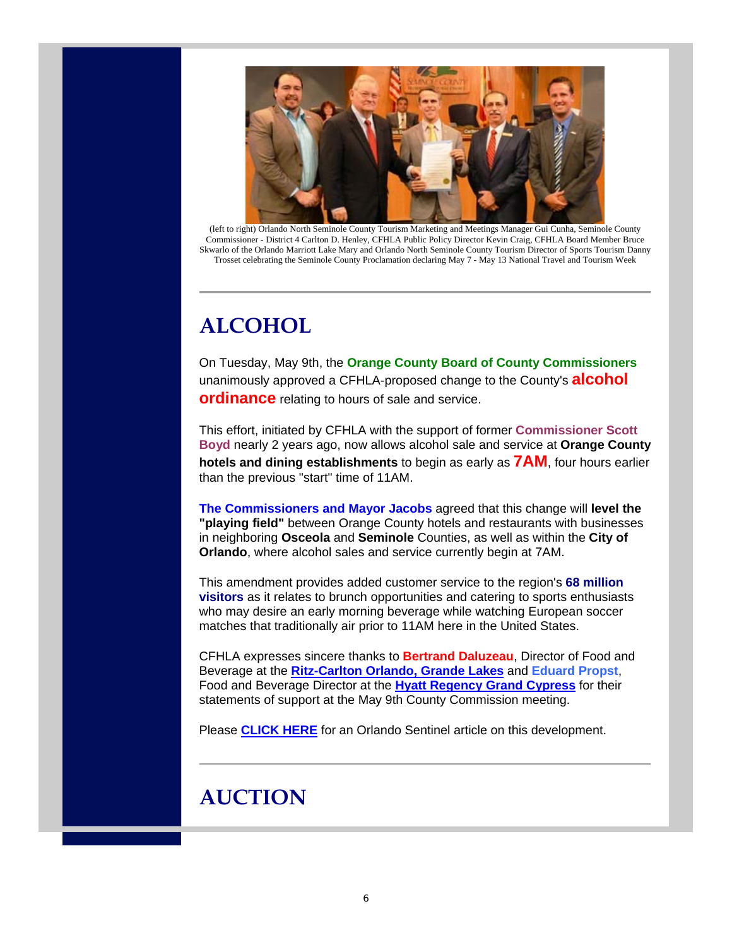

(left to right) Orlando North Seminole County Tourism Marketing and Meetings Manager Gui Cunha, Seminole County Commissioner - District 4 Carlton D. Henley, CFHLA Public Policy Director Kevin Craig, CFHLA Board Member Bruce Skwarlo of the Orlando Marriott Lake Mary and Orlando North Seminole County Tourism Director of Sports Tourism Danny Trosset celebrating the Seminole County Proclamation declaring May 7 - May 13 National Travel and Tourism Week

# **ALCOHOL**

On Tuesday, May 9th, the **Orange County Board of County Commissioners** unanimously approved a CFHLA-proposed change to the County's **alcohol ordinance** relating to hours of sale and service.

This effort, initiated by CFHLA with the support of former **Commissioner Scott Boyd** nearly 2 years ago, now allows alcohol sale and service at **Orange County hotels and dining establishments** to begin as early as **7AM**, four hours earlier than the previous "start" time of 11AM.

**The Commissioners and Mayor Jacobs** agreed that this change will **level the "playing field"** between Orange County hotels and restaurants with businesses in neighboring **Osceola** and **Seminole** Counties, as well as within the **City of Orlando**, where alcohol sales and service currently begin at 7AM.

This amendment provides added customer service to the region's **68 million visitors** as it relates to brunch opportunities and catering to sports enthusiasts who may desire an early morning beverage while watching European soccer matches that traditionally air prior to 11AM here in the United States.

CFHLA expresses sincere thanks to **Bertrand Daluzeau**, Director of Food and Beverage at the **Ritz-Carlton Orlando, Grande Lakes** and **Eduard Propst**, Food and Beverage Director at the **Hyatt Regency Grand Cypress** for their statements of support at the May 9th County Commission meeting.

Please **CLICK HERE** for an Orlando Sentinel article on this development.

# **AUCTION**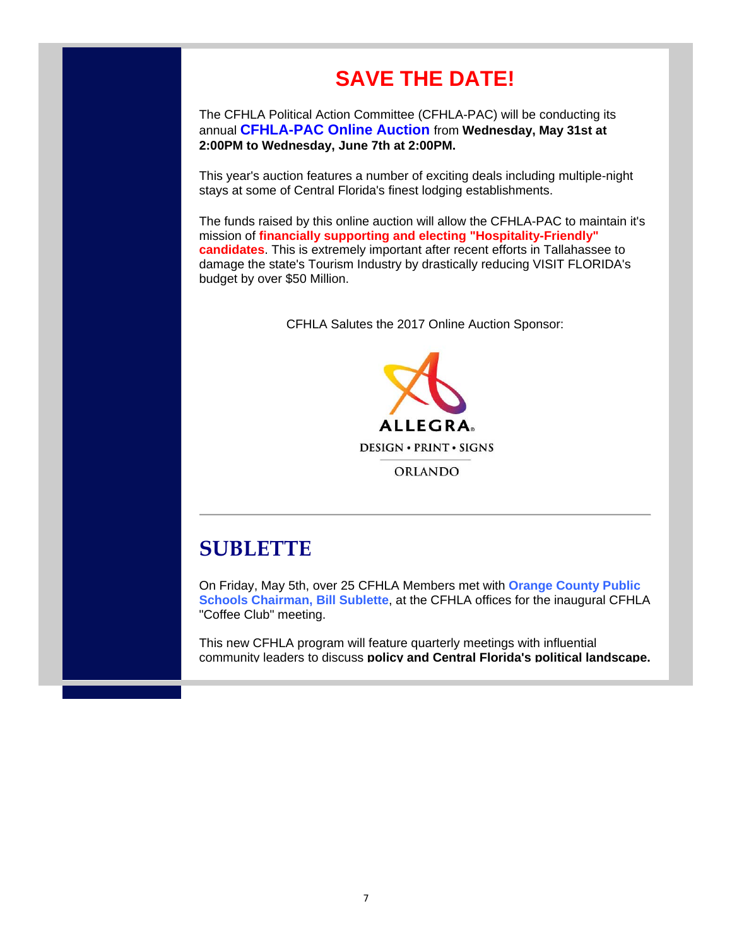# **SAVE THE DATE!**

The CFHLA Political Action Committee (CFHLA-PAC) will be conducting its annual **CFHLA-PAC Online Auction** from **Wednesday, May 31st at 2:00PM to Wednesday, June 7th at 2:00PM.**

This year's auction features a number of exciting deals including multiple-night stays at some of Central Florida's finest lodging establishments.

The funds raised by this online auction will allow the CFHLA-PAC to maintain it's mission of **financially supporting and electing "Hospitality-Friendly" candidates**. This is extremely important after recent efforts in Tallahassee to damage the state's Tourism Industry by drastically reducing VISIT FLORIDA's budget by over \$50 Million.

CFHLA Salutes the 2017 Online Auction Sponsor:



ORLANDO

### **SUBLETTE**

On Friday, May 5th, over 25 CFHLA Members met with **Orange County Public Schools Chairman, Bill Sublette**, at the CFHLA offices for the inaugural CFHLA "Coffee Club" meeting.

This new CFHLA program will feature quarterly meetings with influential community leaders to discuss **policy and Central Florida's political landscape.**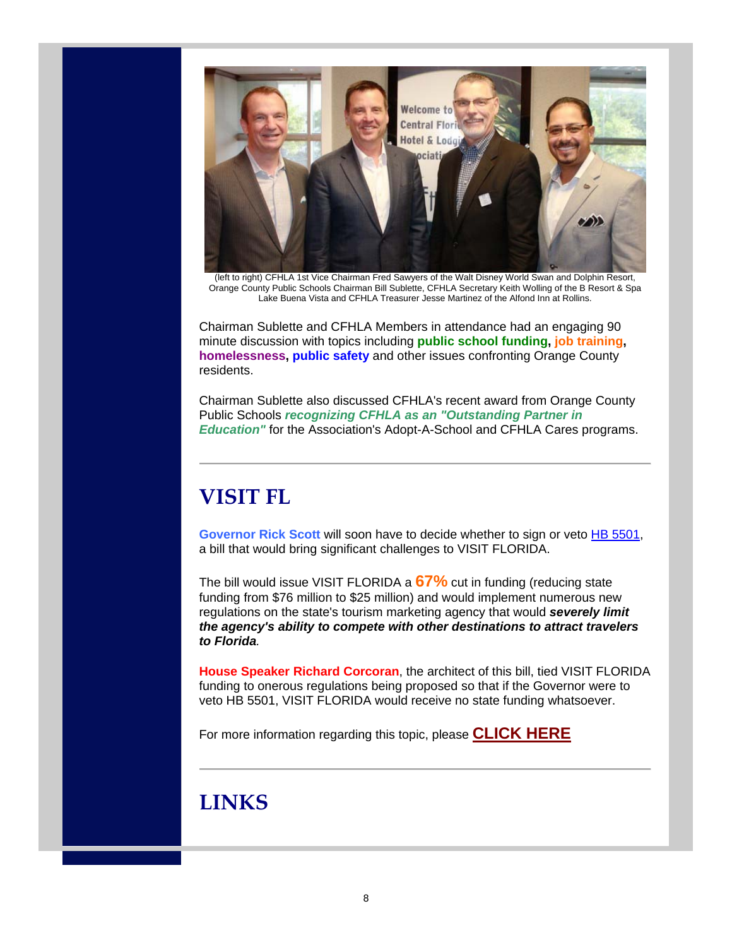

(left to right) CFHLA 1st Vice Chairman Fred Sawyers of the Walt Disney World Swan and Dolphin Resort, Orange County Public Schools Chairman Bill Sublette, CFHLA Secretary Keith Wolling of the B Resort & Spa Lake Buena Vista and CFHLA Treasurer Jesse Martinez of the Alfond Inn at Rollins.

Chairman Sublette and CFHLA Members in attendance had an engaging 90 minute discussion with topics including **public school funding, job training, homelessness, public safety** and other issues confronting Orange County residents.

Chairman Sublette also discussed CFHLA's recent award from Orange County Public Schools *recognizing CFHLA as an "Outstanding Partner in Education"* for the Association's Adopt-A-School and CFHLA Cares programs.

# **VISIT FL**

**Governor Rick Scott** will soon have to decide whether to sign or veto HB 5501, a bill that would bring significant challenges to VISIT FLORIDA.

The bill would issue VISIT FLORIDA a **67%** cut in funding (reducing state funding from \$76 million to \$25 million) and would implement numerous new regulations on the state's tourism marketing agency that would *severely limit the agency's ability to compete with other destinations to attract travelers to Florida.*

**House Speaker Richard Corcoran**, the architect of this bill, tied VISIT FLORIDA funding to onerous regulations being proposed so that if the Governor were to veto HB 5501, VISIT FLORIDA would receive no state funding whatsoever.

For more information regarding this topic, please **CLICK HERE**

### **LINKS**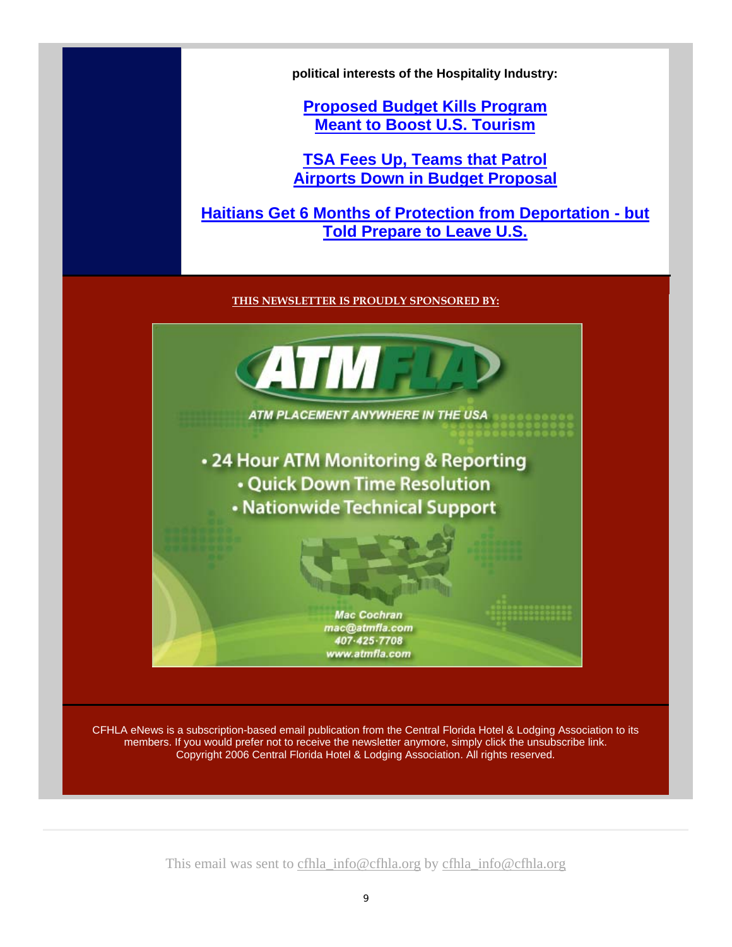**political interests of the Hospitality Industry:**

**Proposed Budget Kills Program Meant to Boost U.S. Tourism**

**TSA Fees Up, Teams that Patrol Airports Down in Budget Proposal**

**Haitians Get 6 Months of Protection from Deportation - but Told Prepare to Leave U.S.**

#### **THIS NEWSLETTER IS PROUDLY SPONSORED BY:**



CFHLA eNews is a subscription-based email publication from the Central Florida Hotel & Lodging Association to its members. If you would prefer not to receive the newsletter anymore, simply click the unsubscribe link. Copyright 2006 Central Florida Hotel & Lodging Association. All rights reserved.

This email was sent to cfhla\_info@cfhla.org by cfhla\_info@cfhla.org